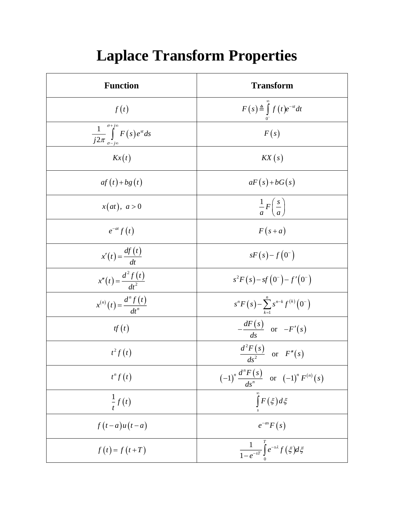| <b>Function</b>                                                     | <b>Transform</b>                                                |
|---------------------------------------------------------------------|-----------------------------------------------------------------|
| f(t)                                                                | $F(s) \triangleq \int f(t)e^{-st}dt$                            |
| $\frac{1}{j2\pi}\int_{\sigma-j\infty}^{\sigma+j\infty}F(s)e^{st}ds$ | F(s)                                                            |
| Kx(t)                                                               | $\mathit{KX}(s)$                                                |
| $af(t)+bg(t)$                                                       | $aF(s)+bG(s)$                                                   |
| x(at), a>0                                                          | $rac{1}{a}F\left(\frac{s}{a}\right)$                            |
| $e^{-at} f(t)$                                                      | $F(s+a)$                                                        |
| $x'(t) = \frac{df(t)}{dt}$                                          | $sF(s) - f(0^{-})$                                              |
| $x''(t) = \frac{d^2 f(t)}{dt^2}$                                    | $s^2 F(s) - sf(0^-) - f'(0^-)$                                  |
| $x^{(n)}(t) = \frac{d^n f(t)}{dt^n}$                                | $s^n F(s) - \sum_{k=1}^n s^{n-k} f^{(k)}(0^-)$                  |
| tf(t)                                                               | $-\frac{dF(s)}{ds}$ or $-F'(s)$                                 |
| $t^2 f(t)$                                                          | $\frac{d^2F(s)}{1^2}$ or $F''(s)$                               |
| $t^n f(t)$                                                          | $(-1)^n \frac{d^n F(s)}{ds^n}$ or $(-1)^n F^{(n)}(s)$           |
| $\frac{1}{t}f(t)$                                                   | $\int\limits_0^\infty F\left(\xi\right)d\xi$                    |
| $f(t-a)u(t-a)$                                                      | $e^{-as}F(s)$                                                   |
| $f(t) = f(t+T)$                                                     | $\frac{1}{1-e^{-sT}}\int\limits_{0}^{T}e^{-s\lambda}f(\xi)d\xi$ |

## **Laplace Transform Properties**